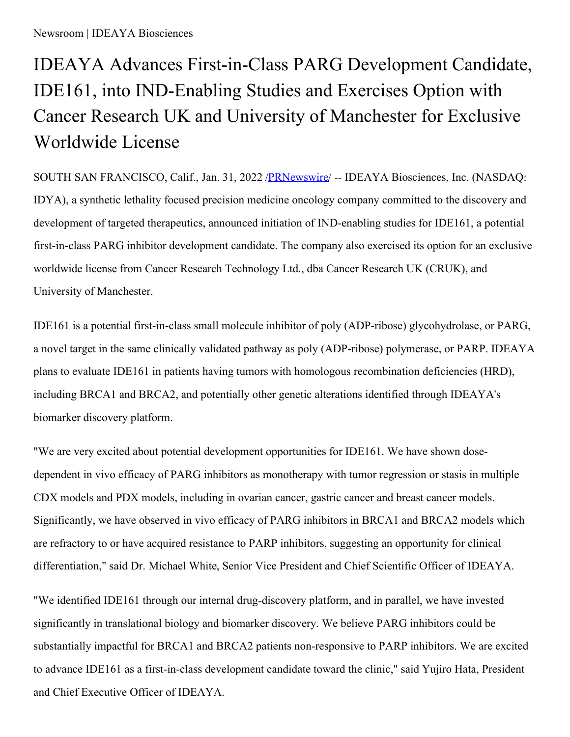## IDEAYA Advances First-in-Class PARG Development Candidate, IDE161, into IND-Enabling Studies and Exercises Option with Cancer Research UK and University of Manchester for Exclusive Worldwide License

SOUTH SAN FRANCISCO, Calif., Jan. 31, 2022 [/PRNewswire](http://www.prnewswire.com/)/ -- IDEAYA Biosciences, Inc. (NASDAQ: IDYA), a synthetic lethality focused precision medicine oncology company committed to the discovery and development of targeted therapeutics, announced initiation of IND-enabling studies for IDE161, a potential first-in-class PARG inhibitor development candidate. The company also exercised its option for an exclusive worldwide license from Cancer Research Technology Ltd., dba Cancer Research UK (CRUK), and University of Manchester.

IDE161 is a potential first-in-class small molecule inhibitor of poly (ADP-ribose) glycohydrolase, or PARG, a novel target in the same clinically validated pathway as poly (ADP-ribose) polymerase, or PARP. IDEAYA plans to evaluate IDE161 in patients having tumors with homologous recombination deficiencies (HRD), including BRCA1 and BRCA2, and potentially other genetic alterations identified through IDEAYA's biomarker discovery platform.

"We are very excited about potential development opportunities for IDE161. We have shown dosedependent in vivo efficacy of PARG inhibitors as monotherapy with tumor regression or stasis in multiple CDX models and PDX models, including in ovarian cancer, gastric cancer and breast cancer models. Significantly, we have observed in vivo efficacy of PARG inhibitors in BRCA1 and BRCA2 models which are refractory to or have acquired resistance to PARP inhibitors, suggesting an opportunity for clinical differentiation," said Dr. Michael White, Senior Vice President and Chief Scientific Officer of IDEAYA.

"We identified IDE161 through our internal drug-discovery platform, and in parallel, we have invested significantly in translational biology and biomarker discovery. We believe PARG inhibitors could be substantially impactful for BRCA1 and BRCA2 patients non-responsive to PARP inhibitors. We are excited to advance IDE161 as a first-in-class development candidate toward the clinic," said Yujiro Hata, President and Chief Executive Officer of IDEAYA.